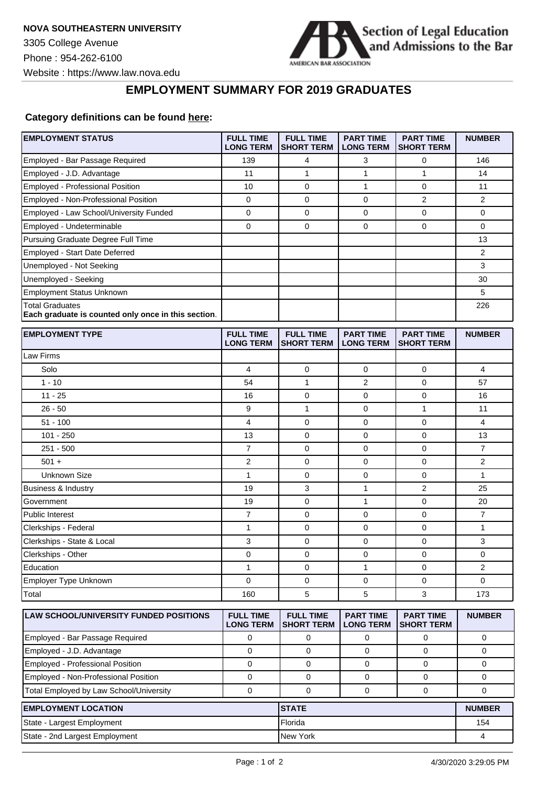**EMPLOYMENT STATUS** 



**FULL TIME PART TIME PART TIME NUMBER**

## **EMPLOYMENT SUMMARY FOR 2019 GRADUATES**

## **Category definitions can be found [here:](https://www.americanbar.org/content/dam/aba/administrative/legal_education_and_admissions_to_the_bar/Questionnaires/2020employmentquestionnaire/2020-aba-employment-protocols-class-of-2019.pdf)**

|                                                                               | <b>LONG TERM</b>                     | <b>SHORT TERM   LONG TERM</b>         |                                      | <b>SHORT TERM</b>                     |               |
|-------------------------------------------------------------------------------|--------------------------------------|---------------------------------------|--------------------------------------|---------------------------------------|---------------|
| Employed - Bar Passage Required                                               | 139                                  | 4                                     | 3                                    | 0                                     | 146           |
| Employed - J.D. Advantage                                                     | 11                                   | $\mathbf{1}$                          | 1                                    | $\mathbf{1}$                          | 14            |
| Employed - Professional Position                                              | 10                                   | 0                                     | 1                                    | 0                                     | 11            |
| Employed - Non-Professional Position                                          | 0                                    | 0                                     | 0                                    | $\overline{2}$                        | 2             |
| Employed - Law School/University Funded                                       | 0                                    | $\mathbf 0$                           | 0                                    | 0                                     | 0             |
| Employed - Undeterminable                                                     | 0                                    | 0                                     | 0                                    | 0                                     | 0             |
| Pursuing Graduate Degree Full Time                                            |                                      |                                       |                                      |                                       | 13            |
| Employed - Start Date Deferred                                                |                                      |                                       |                                      |                                       | 2             |
| Unemployed - Not Seeking                                                      |                                      |                                       |                                      |                                       | 3             |
| Unemployed - Seeking                                                          |                                      |                                       |                                      |                                       | 30            |
| Employment Status Unknown                                                     |                                      |                                       |                                      |                                       | 5             |
| <b>Total Graduates</b><br>Each graduate is counted only once in this section. |                                      |                                       |                                      |                                       | 226           |
| <b>EMPLOYMENT TYPE</b>                                                        | <b>FULL TIME</b><br><b>LONG TERM</b> | <b>FULL TIME</b><br><b>SHORT TERM</b> | <b>PART TIME</b><br><b>LONG TERM</b> | <b>PART TIME</b><br><b>SHORT TERM</b> | <b>NUMBER</b> |
| Law Firms                                                                     |                                      |                                       |                                      |                                       |               |
| Solo                                                                          | 4                                    | 0                                     | 0                                    | 0                                     | 4             |
| $1 - 10$                                                                      | 54                                   | 1                                     | $\overline{2}$                       | 0                                     | 57            |
| $11 - 25$                                                                     | 16                                   | 0                                     | 0                                    | 0                                     | 16            |
| $26 - 50$                                                                     | 9                                    | $\mathbf{1}$                          | 0                                    | $\mathbf{1}$                          | 11            |
| $51 - 100$                                                                    | 4                                    | 0                                     | 0                                    | 0                                     | 4             |
| $101 - 250$                                                                   | 13                                   | $\mathbf 0$                           | 0                                    | 0                                     | 13            |
| $251 - 500$                                                                   | $\overline{7}$                       | 0                                     | 0                                    | 0                                     | 7             |
| $501 +$                                                                       | 2                                    | 0                                     | 0                                    | $\mathbf 0$                           | 2             |
| <b>Unknown Size</b>                                                           | 1                                    | 0                                     | 0                                    | 0                                     | 1             |
| Business & Industry                                                           | 19                                   | 3                                     | 1                                    | 2                                     | 25            |
| Government                                                                    | 19                                   | 0                                     | 1                                    | 0                                     | 20            |
| <b>Public Interest</b>                                                        | $\overline{7}$                       | 0                                     | 0                                    | $\mathbf 0$                           | 7             |
| Clerkships - Federal                                                          | $\mathbf{1}$                         | $\mathbf 0$                           | 0                                    | $\mathbf 0$                           | 1             |
| Clerkships - State & Local                                                    | 3                                    | $\mathbf 0$                           | 0                                    | 0                                     | 3             |
| Clerkships - Other                                                            | 0                                    | 0                                     | 0                                    | 0                                     | 0             |
| Education                                                                     | 1                                    | 0                                     | 1                                    | 0                                     | 2             |
| Employer Type Unknown                                                         | 0                                    | 0                                     | 0                                    | 0                                     | 0             |
| Total                                                                         | 160                                  | 5                                     | 5                                    | 3                                     | 173           |
| LAW SCHOOL/UNIVERSITY FUNDED POSITIONS                                        | <b>FULL TIME</b><br><b>LONG TERM</b> | <b>FULL TIME</b><br><b>SHORT TERM</b> | <b>PART TIME</b><br><b>LONG TERM</b> | <b>PART TIME</b><br><b>SHORT TERM</b> | <b>NUMBER</b> |
| Employed - Bar Passage Required                                               | 0                                    | 0                                     | 0                                    | 0                                     | 0             |
| Employed - J.D. Advantage                                                     | $\mathbf 0$                          | $\mathbf 0$                           | 0                                    | 0                                     | 0             |
| Employed - Professional Position                                              | $\mathbf 0$                          | 0                                     | $\mathbf 0$                          | $\mathbf 0$                           | 0             |
| Employed - Non-Professional Position                                          | $\mathbf 0$                          | 0                                     | 0                                    | 0                                     | 0             |
| Total Employed by Law School/University                                       | $\mathbf 0$                          | 0                                     | 0                                    | 0                                     | 0             |
| <b>EMPLOYMENT LOCATION</b>                                                    |                                      | <b>STATE</b>                          |                                      |                                       | <b>NUMBER</b> |
| State - Largest Employment                                                    |                                      | Florida                               |                                      |                                       | 154           |
| State - 2nd Largest Employment                                                |                                      | New York                              |                                      |                                       | 4             |
|                                                                               |                                      |                                       |                                      |                                       |               |